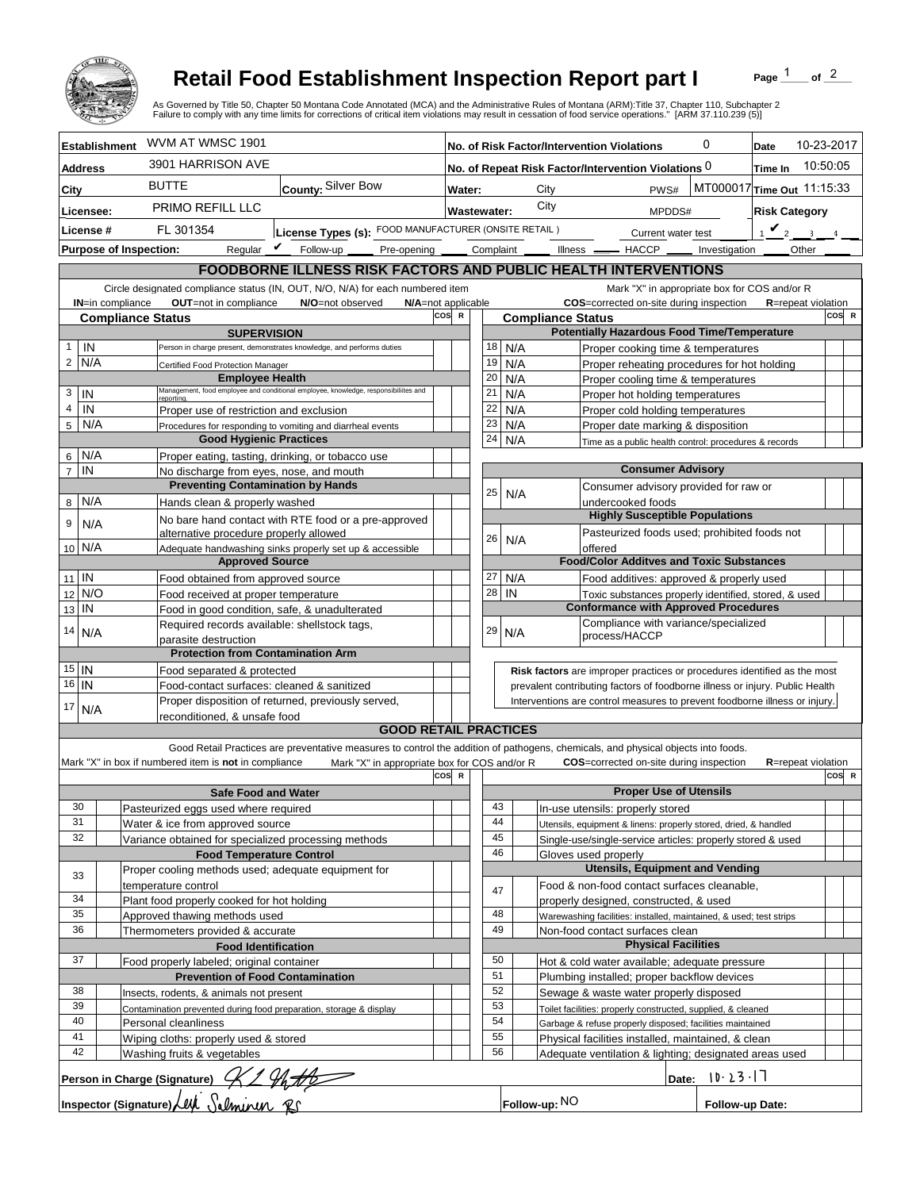

## **Retail Food Establishment Inspection Report part I**

Page  $\frac{1}{1}$  of  $\frac{2}{1}$ 

|                               |                                                                                            | <b>Retail Food Establishment Inspection Report part I</b><br>As Governed by Title 50, Chapter 50 Montana Code Annotated (MCA) and the Administrative Rules of Montana (ARM):Title 37, Chapter 110, Subchapter 2<br>Failure to comply with any time limits for corrections of critical item violations may result in cessation of food service operations." [ARM 37.110.239 (5)] |     |                    |          |                                                     |      |                      |                                                                   |                    |                                                                                                                                                            | Page                 |                            | of $^2$ |  |
|-------------------------------|--------------------------------------------------------------------------------------------|---------------------------------------------------------------------------------------------------------------------------------------------------------------------------------------------------------------------------------------------------------------------------------------------------------------------------------------------------------------------------------|-----|--------------------|----------|-----------------------------------------------------|------|----------------------|-------------------------------------------------------------------|--------------------|------------------------------------------------------------------------------------------------------------------------------------------------------------|----------------------|----------------------------|---------|--|
| <b>Establishment</b>          | WVM AT WMSC 1901                                                                           |                                                                                                                                                                                                                                                                                                                                                                                 |     |                    |          | No. of Risk Factor/Intervention Violations          |      |                      |                                                                   |                    | 0                                                                                                                                                          | Date                 | 10-23-2017                 |         |  |
| <b>Address</b>                | 3901 HARRISON AVE                                                                          |                                                                                                                                                                                                                                                                                                                                                                                 |     |                    |          | No. of Repeat Risk Factor/Intervention Violations 0 |      |                      |                                                                   |                    |                                                                                                                                                            | Time In              | 10:50:05                   |         |  |
| <b>City</b>                   | <b>BUTTE</b>                                                                               | County: Silver Bow                                                                                                                                                                                                                                                                                                                                                              |     | Water:             |          |                                                     | City |                      |                                                                   | PWS#               | MT000017 Time Out 11:15:33                                                                                                                                 |                      |                            |         |  |
|                               | <b>PRIMO REFILL LLC</b>                                                                    |                                                                                                                                                                                                                                                                                                                                                                                 |     |                    |          |                                                     | City |                      |                                                                   |                    |                                                                                                                                                            |                      |                            |         |  |
| Licensee:                     |                                                                                            |                                                                                                                                                                                                                                                                                                                                                                                 |     | <b>Wastewater:</b> |          |                                                     |      |                      |                                                                   | MPDDS#             |                                                                                                                                                            | <b>Risk Category</b> |                            |         |  |
| License #                     | FL 301354                                                                                  | License Types (s): FOOD MANUFACTURER (ONSITE RETAIL)                                                                                                                                                                                                                                                                                                                            |     |                    |          |                                                     |      |                      |                                                                   | Current water test |                                                                                                                                                            | $\mathbf{v}_2$       | $\overline{3}$             |         |  |
| <b>Purpose of Inspection:</b> |                                                                                            | Requiar $\mathbf{\nabla}$ Follow-up<br>Pre-opening                                                                                                                                                                                                                                                                                                                              |     |                    |          | Complaint                                           |      |                      | ____ Illness ____ HACCP ____                                      |                    | Investigation                                                                                                                                              |                      | Other                      |         |  |
|                               |                                                                                            | <b>FOODBORNE ILLNESS RISK FACTORS AND PUBLIC HEALTH INTERVENTIONS</b>                                                                                                                                                                                                                                                                                                           |     |                    |          |                                                     |      |                      |                                                                   |                    |                                                                                                                                                            |                      |                            |         |  |
| <b>IN=in compliance</b>       | OUT=not in compliance                                                                      | Circle designated compliance status (IN, OUT, N/O, N/A) for each numbered item<br>N/O=not observed<br>N/A=not applicable                                                                                                                                                                                                                                                        |     |                    |          |                                                     |      |                      |                                                                   |                    | Mark "X" in appropriate box for COS and/or R<br>COS=corrected on-site during inspection                                                                    |                      | <b>R</b> =repeat violation |         |  |
| <b>Compliance Status</b>      |                                                                                            |                                                                                                                                                                                                                                                                                                                                                                                 | cos | $\mathbb{R}$       |          | <b>Compliance Status</b>                            |      |                      |                                                                   |                    |                                                                                                                                                            |                      |                            | COS R   |  |
|                               | <b>SUPERVISION</b>                                                                         |                                                                                                                                                                                                                                                                                                                                                                                 |     |                    |          |                                                     |      |                      |                                                                   |                    | <b>Potentially Hazardous Food Time/Temperature</b>                                                                                                         |                      |                            |         |  |
| IN<br>$\mathbf{1}$            |                                                                                            | Person in charge present, demonstrates knowledge, and performs duties                                                                                                                                                                                                                                                                                                           |     |                    | 18       | N/A                                                 |      |                      |                                                                   |                    | Proper cooking time & temperatures                                                                                                                         |                      |                            |         |  |
| $\overline{2}$<br>N/A         | Certified Food Protection Manager                                                          |                                                                                                                                                                                                                                                                                                                                                                                 |     |                    | 19       | N/A                                                 |      |                      |                                                                   |                    | Proper reheating procedures for hot holding                                                                                                                |                      |                            |         |  |
| 3<br>IN                       | <b>Employee Health</b>                                                                     | Management, food employee and conditional employee, knowledge, responsibiliites and                                                                                                                                                                                                                                                                                             |     |                    | 20<br>21 | N/A<br>N/A                                          |      |                      |                                                                   |                    | Proper cooling time & temperatures<br>Proper hot holding temperatures                                                                                      |                      |                            |         |  |
| $\overline{\mathbf{4}}$<br>IN | reportina.<br>Proper use of restriction and exclusion                                      |                                                                                                                                                                                                                                                                                                                                                                                 |     |                    | 22       | N/A                                                 |      |                      |                                                                   |                    | Proper cold holding temperatures                                                                                                                           |                      |                            |         |  |
| 5<br>N/A                      |                                                                                            | Procedures for responding to vomiting and diarrheal events                                                                                                                                                                                                                                                                                                                      |     |                    | 23       | N/A                                                 |      |                      |                                                                   |                    | Proper date marking & disposition                                                                                                                          |                      |                            |         |  |
|                               | <b>Good Hygienic Practices</b>                                                             |                                                                                                                                                                                                                                                                                                                                                                                 |     |                    | 24       | N/A                                                 |      |                      |                                                                   |                    | Time as a public health control: procedures & records                                                                                                      |                      |                            |         |  |
| N/A<br>6                      | Proper eating, tasting, drinking, or tobacco use                                           |                                                                                                                                                                                                                                                                                                                                                                                 |     |                    |          |                                                     |      |                      |                                                                   |                    |                                                                                                                                                            |                      |                            |         |  |
| $\overline{7}$<br>IN          | No discharge from eyes, nose, and mouth<br><b>Preventing Contamination by Hands</b>        |                                                                                                                                                                                                                                                                                                                                                                                 |     |                    |          |                                                     |      |                      | <b>Consumer Advisory</b>                                          |                    |                                                                                                                                                            |                      |                            |         |  |
| N/A<br>8                      | Hands clean & properly washed                                                              |                                                                                                                                                                                                                                                                                                                                                                                 |     |                    | 25       | N/A                                                 |      |                      | undercooked foods                                                 |                    | Consumer advisory provided for raw or                                                                                                                      |                      |                            |         |  |
| 9                             |                                                                                            | No bare hand contact with RTE food or a pre-approved                                                                                                                                                                                                                                                                                                                            |     |                    |          |                                                     |      |                      |                                                                   |                    | <b>Highly Susceptible Populations</b>                                                                                                                      |                      |                            |         |  |
| N/A                           | alternative procedure properly allowed                                                     |                                                                                                                                                                                                                                                                                                                                                                                 |     |                    | 26       | N/A                                                 |      |                      |                                                                   |                    | Pasteurized foods used; prohibited foods not                                                                                                               |                      |                            |         |  |
| 10 N/A                        |                                                                                            | Adequate handwashing sinks properly set up & accessible                                                                                                                                                                                                                                                                                                                         |     |                    |          |                                                     |      | offered              |                                                                   |                    |                                                                                                                                                            |                      |                            |         |  |
|                               | <b>Approved Source</b>                                                                     |                                                                                                                                                                                                                                                                                                                                                                                 |     |                    |          |                                                     |      |                      |                                                                   |                    | <b>Food/Color Additves and Toxic Substances</b>                                                                                                            |                      |                            |         |  |
| $11$ IN<br>N/O                | Food obtained from approved source                                                         |                                                                                                                                                                                                                                                                                                                                                                                 |     |                    | 27<br>28 | N/A<br>IN                                           |      |                      |                                                                   |                    | Food additives: approved & properly used                                                                                                                   |                      |                            |         |  |
| 12<br>IN<br>13                | Food received at proper temperature<br>Food in good condition, safe, & unadulterated       |                                                                                                                                                                                                                                                                                                                                                                                 |     |                    |          |                                                     |      |                      |                                                                   |                    | Toxic substances properly identified, stored, & used<br><b>Conformance with Approved Procedures</b>                                                        |                      |                            |         |  |
|                               | Required records available: shellstock tags,                                               |                                                                                                                                                                                                                                                                                                                                                                                 |     |                    |          |                                                     |      |                      |                                                                   |                    | Compliance with variance/specialized                                                                                                                       |                      |                            |         |  |
| 14<br>N/A                     | parasite destruction                                                                       |                                                                                                                                                                                                                                                                                                                                                                                 |     |                    | 29       | N/A                                                 |      |                      | process/HACCP                                                     |                    |                                                                                                                                                            |                      |                            |         |  |
|                               | <b>Protection from Contamination Arm</b>                                                   |                                                                                                                                                                                                                                                                                                                                                                                 |     |                    |          |                                                     |      |                      |                                                                   |                    |                                                                                                                                                            |                      |                            |         |  |
| $15$ IN                       | Food separated & protected                                                                 |                                                                                                                                                                                                                                                                                                                                                                                 |     |                    |          |                                                     |      |                      |                                                                   |                    | Risk factors are improper practices or procedures identified as the most                                                                                   |                      |                            |         |  |
| $16$   IN                     | Food-contact surfaces: cleaned & sanitized                                                 | Proper disposition of returned, previously served,                                                                                                                                                                                                                                                                                                                              |     |                    |          |                                                     |      |                      |                                                                   |                    | prevalent contributing factors of foodborne illness or injury. Public Health<br>Interventions are control measures to prevent foodborne illness or injury. |                      |                            |         |  |
| 17<br>N/A                     | reconditioned, & unsafe food                                                               |                                                                                                                                                                                                                                                                                                                                                                                 |     |                    |          |                                                     |      |                      |                                                                   |                    |                                                                                                                                                            |                      |                            |         |  |
|                               |                                                                                            | <b>GOOD RETAIL PRACTICES</b>                                                                                                                                                                                                                                                                                                                                                    |     |                    |          |                                                     |      |                      |                                                                   |                    |                                                                                                                                                            |                      |                            |         |  |
|                               |                                                                                            | Good Retail Practices are preventative measures to control the addition of pathogens, chemicals, and physical objects into foods.                                                                                                                                                                                                                                               |     |                    |          |                                                     |      |                      |                                                                   |                    |                                                                                                                                                            |                      |                            |         |  |
|                               | Mark "X" in box if numbered item is not in compliance                                      | Mark "X" in appropriate box for COS and/or R                                                                                                                                                                                                                                                                                                                                    |     |                    |          |                                                     |      |                      |                                                                   |                    | <b>COS</b> =corrected on-site during inspection                                                                                                            |                      | <b>R</b> =repeat violation |         |  |
|                               |                                                                                            |                                                                                                                                                                                                                                                                                                                                                                                 | cos | $\mathbb{R}$       |          |                                                     |      |                      |                                                                   |                    |                                                                                                                                                            |                      |                            | COS R   |  |
| 30                            | <b>Safe Food and Water</b><br>Pasteurized eggs used where required                         |                                                                                                                                                                                                                                                                                                                                                                                 |     |                    | 43       |                                                     |      |                      | <b>Proper Use of Utensils</b><br>In-use utensils: properly stored |                    |                                                                                                                                                            |                      |                            |         |  |
| 31                            | Water & ice from approved source                                                           |                                                                                                                                                                                                                                                                                                                                                                                 |     |                    | 44       |                                                     |      |                      |                                                                   |                    | Utensils, equipment & linens: properly stored, dried, & handled                                                                                            |                      |                            |         |  |
| 32                            | Variance obtained for specialized processing methods                                       |                                                                                                                                                                                                                                                                                                                                                                                 |     |                    | 45       |                                                     |      |                      |                                                                   |                    | Single-use/single-service articles: properly stored & used                                                                                                 |                      |                            |         |  |
|                               | <b>Food Temperature Control</b>                                                            |                                                                                                                                                                                                                                                                                                                                                                                 |     |                    | 46       |                                                     |      | Gloves used properly |                                                                   |                    |                                                                                                                                                            |                      |                            |         |  |
| 33                            | Proper cooling methods used; adequate equipment for                                        |                                                                                                                                                                                                                                                                                                                                                                                 |     |                    |          |                                                     |      |                      |                                                                   |                    | <b>Utensils, Equipment and Vending</b>                                                                                                                     |                      |                            |         |  |
|                               | temperature control                                                                        |                                                                                                                                                                                                                                                                                                                                                                                 |     |                    | 47       |                                                     |      |                      |                                                                   |                    | Food & non-food contact surfaces cleanable,                                                                                                                |                      |                            |         |  |
| 34<br>35                      | Plant food properly cooked for hot holding<br>Approved thawing methods used                |                                                                                                                                                                                                                                                                                                                                                                                 |     |                    | 48       |                                                     |      |                      | properly designed, constructed, & used                            |                    |                                                                                                                                                            |                      |                            |         |  |
| 36                            | Thermometers provided & accurate                                                           |                                                                                                                                                                                                                                                                                                                                                                                 |     |                    | 49       |                                                     |      |                      | Non-food contact surfaces clean                                   |                    | Warewashing facilities: installed, maintained, & used; test strips                                                                                         |                      |                            |         |  |
| <b>Food Identification</b>    |                                                                                            |                                                                                                                                                                                                                                                                                                                                                                                 |     |                    |          |                                                     |      |                      | <b>Physical Facilities</b>                                        |                    |                                                                                                                                                            |                      |                            |         |  |
| 37                            | Food properly labeled; original container                                                  |                                                                                                                                                                                                                                                                                                                                                                                 |     |                    | 50       |                                                     |      |                      |                                                                   |                    | Hot & cold water available; adequate pressure                                                                                                              |                      |                            |         |  |
|                               | <b>Prevention of Food Contamination</b>                                                    |                                                                                                                                                                                                                                                                                                                                                                                 |     |                    | 51       |                                                     |      |                      |                                                                   |                    | Plumbing installed; proper backflow devices                                                                                                                |                      |                            |         |  |
| 38<br>39                      | Insects, rodents, & animals not present                                                    |                                                                                                                                                                                                                                                                                                                                                                                 |     |                    | 52<br>53 |                                                     |      |                      |                                                                   |                    | Sewage & waste water properly disposed                                                                                                                     |                      |                            |         |  |
| 40                            | Contamination prevented during food preparation, storage & display<br>Personal cleanliness |                                                                                                                                                                                                                                                                                                                                                                                 |     |                    | 54       |                                                     |      |                      |                                                                   |                    | Toilet facilities: properly constructed, supplied, & cleaned                                                                                               |                      |                            |         |  |
| 41                            | Wiping cloths: properly used & stored                                                      |                                                                                                                                                                                                                                                                                                                                                                                 |     |                    | 55       |                                                     |      |                      |                                                                   |                    | Garbage & refuse properly disposed; facilities maintained<br>Physical facilities installed, maintained, & clean                                            |                      |                            |         |  |
| 42                            | Washing fruits & vegetables                                                                |                                                                                                                                                                                                                                                                                                                                                                                 |     |                    | 56       |                                                     |      |                      |                                                                   |                    | Adequate ventilation & lighting; designated areas used                                                                                                     |                      |                            |         |  |
|                               |                                                                                            |                                                                                                                                                                                                                                                                                                                                                                                 |     |                    |          |                                                     |      |                      |                                                                   |                    | Date: $10.23.17$                                                                                                                                           |                      |                            |         |  |
|                               | Person in Charge (Signature) $\frac{1}{2}$ $\frac{1}{4}$                                   |                                                                                                                                                                                                                                                                                                                                                                                 |     |                    |          |                                                     |      |                      |                                                                   |                    |                                                                                                                                                            |                      |                            |         |  |
|                               |                                                                                            |                                                                                                                                                                                                                                                                                                                                                                                 |     |                    |          | Follow-up: NO                                       |      |                      |                                                                   |                    | Follow-up Date:                                                                                                                                            |                      |                            |         |  |